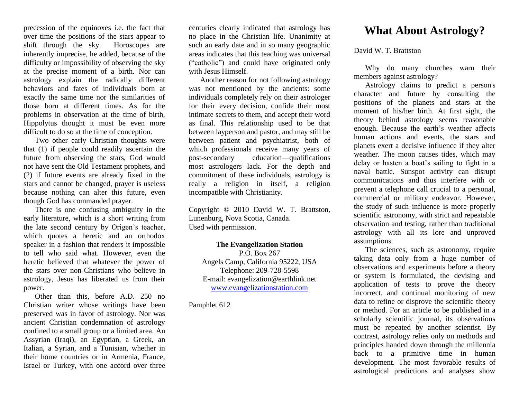precession of the equinoxes i.e. the fact that over time the positions of the stars appear to shift through the sky. Horoscopes are inherently imprecise, he added, because of the difficulty or impossibility of observing the sky at the precise moment of a birth. Nor can astrology explain the radically different behaviors and fates of individuals born at exactly the same time nor the similarities of those born at different times. As for the problems in observation at the time of birth, Hippolytus thought it must be even more difficult to do so at the time of conception.

 Two other early Christian thoughts were that (1) if people could readily ascertain the future from observing the stars, God would not have sent the Old Testament prophets, and (2) if future events are already fixed in the stars and cannot be changed, prayer is useless because nothing can alter this future, even though God has commanded prayer.

 There is one confusing ambiguity in the early literature, which is a short writing from the late second century by Origen's teacher, which quotes a heretic and an orthodox speaker in a fashion that renders it impossible to tell who said what. However, even the heretic believed that whatever the power of the stars over non-Christians who believe in astrology, Jesus has liberated us from their power.

 Other than this, before A.D. 250 no Christian writer whose writings have been preserved was in favor of astrology. Nor was ancient Christian condemnation of astrology confined to a small group or a limited area. An Assyrian (Iraqi), an Egyptian, a Greek, an Italian, a Syrian, and a Tunisian, whether in their home countries or in Armenia, France, Israel or Turkey, with one accord over three

centuries clearly indicated that astrology has no place in the Christian life. Unanimity at such an early date and in so many geographic areas indicates that this teaching was universal ("catholic") and could have originated only with Jesus Himself.

 Another reason for not following astrology was not mentioned by the ancients: some individuals completely rely on their astrologer for their every decision, confide their most intimate secrets to them, and accept their word as final. This relationship used to be that between layperson and pastor, and may still be between patient and psychiatrist, both of which professionals receive many years of post-secondary education—qualifications most astrologers lack. For the depth and commitment of these individuals, astrology is really a religion in itself, a religion incompatible with Christianity.

Copyright © 2010 David W. T. Brattston, Lunenburg, Nova Scotia, Canada. Used with permission.

## **The Evangelization Station**

P.O. Box 267 Angels Camp, California 95222, USA Telephone: 209-728-5598 E-mail: evangelization@earthlink.net [www.evangelizationstation.com](http://www.pjpiisoe.org/)

Pamphlet 612

## **What About Astrology?**

## David W. T. Brattston

 Why do many churches warn their members against astrology?

 Astrology claims to predict a person's character and future by consulting the positions of the planets and stars at the moment of his/her birth. At first sight, the theory behind astrology seems reasonable enough. Because the earth's weather affects human actions and events, the stars and planets exert a decisive influence if they alter weather. The moon causes tides, which may delay or hasten a boat's sailing to fight in a naval battle. Sunspot activity can disrupt communications and thus interfere with or prevent a telephone call crucial to a personal, commercial or military endeavor. However, the study of such influence is more properly scientific astronomy, with strict and repeatable observation and testing, rather than traditional astrology with all its lore and unproved assumptions.

 The sciences, such as astronomy, require taking data only from a huge number of observations and experiments before a theory or system is formulated, the devising and application of tests to prove the theory incorrect, and continual monitoring of new data to refine or disprove the scientific theory or method. For an article to be published in a scholarly scientific journal, its observations must be repeated by another scientist. By contrast, astrology relies only on methods and principles handed down through the millennia back to a primitive time in human development. The most favorable results of astrological predictions and analyses show